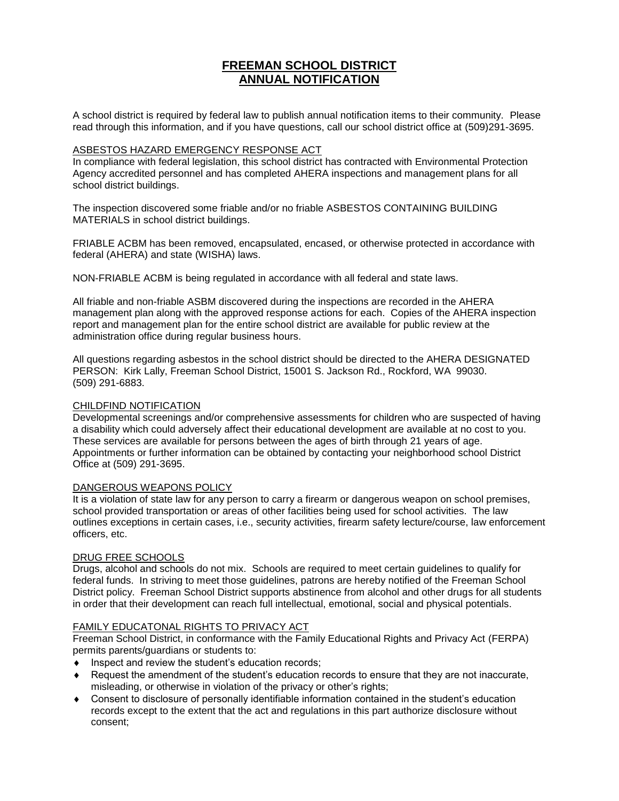# **FREEMAN SCHOOL DISTRICT ANNUAL NOTIFICATION**

A school district is required by federal law to publish annual notification items to their community. Please read through this information, and if you have questions, call our school district office at (509)291-3695.

#### ASBESTOS HAZARD EMERGENCY RESPONSE ACT

In compliance with federal legislation, this school district has contracted with Environmental Protection Agency accredited personnel and has completed AHERA inspections and management plans for all school district buildings.

The inspection discovered some friable and/or no friable ASBESTOS CONTAINING BUILDING MATERIALS in school district buildings.

FRIABLE ACBM has been removed, encapsulated, encased, or otherwise protected in accordance with federal (AHERA) and state (WISHA) laws.

NON-FRIABLE ACBM is being regulated in accordance with all federal and state laws.

All friable and non-friable ASBM discovered during the inspections are recorded in the AHERA management plan along with the approved response actions for each. Copies of the AHERA inspection report and management plan for the entire school district are available for public review at the administration office during regular business hours.

All questions regarding asbestos in the school district should be directed to the AHERA DESIGNATED PERSON: Kirk Lally, Freeman School District, 15001 S. Jackson Rd., Rockford, WA 99030. (509) 291-6883.

# CHILDFIND NOTIFICATION

Developmental screenings and/or comprehensive assessments for children who are suspected of having a disability which could adversely affect their educational development are available at no cost to you. These services are available for persons between the ages of birth through 21 years of age. Appointments or further information can be obtained by contacting your neighborhood school District Office at (509) 291-3695.

# DANGEROUS WEAPONS POLICY

It is a violation of state law for any person to carry a firearm or dangerous weapon on school premises, school provided transportation or areas of other facilities being used for school activities. The law outlines exceptions in certain cases, i.e., security activities, firearm safety lecture/course, law enforcement officers, etc.

#### DRUG FREE SCHOOLS

Drugs, alcohol and schools do not mix. Schools are required to meet certain guidelines to qualify for federal funds. In striving to meet those guidelines, patrons are hereby notified of the Freeman School District policy. Freeman School District supports abstinence from alcohol and other drugs for all students in order that their development can reach full intellectual, emotional, social and physical potentials.

# FAMILY EDUCATONAL RIGHTS TO PRIVACY ACT

Freeman School District, in conformance with the Family Educational Rights and Privacy Act (FERPA) permits parents/guardians or students to:

- $\bullet$  Inspect and review the student's education records;
- Request the amendment of the student's education records to ensure that they are not inaccurate, misleading, or otherwise in violation of the privacy or other's rights;
- Consent to disclosure of personally identifiable information contained in the student's education records except to the extent that the act and regulations in this part authorize disclosure without consent;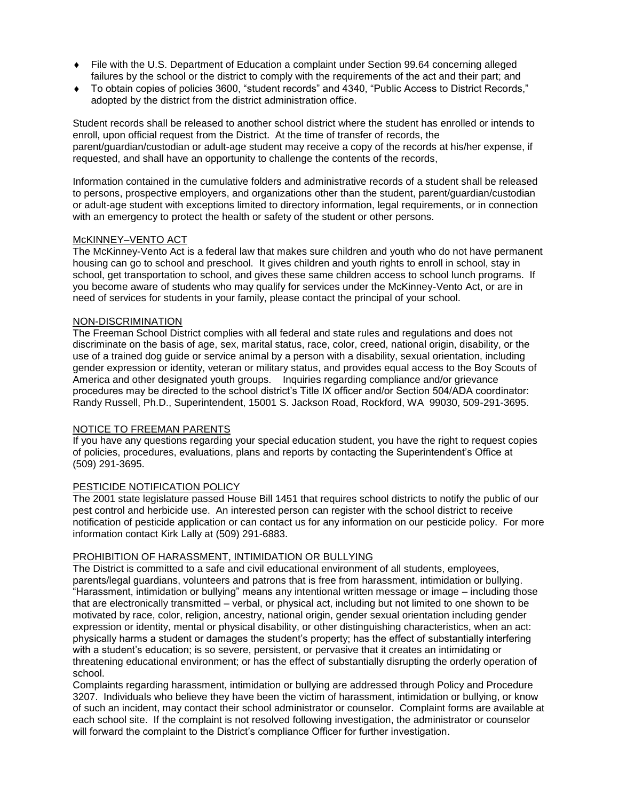- File with the U.S. Department of Education a complaint under Section 99.64 concerning alleged failures by the school or the district to comply with the requirements of the act and their part; and
- To obtain copies of policies 3600, "student records" and 4340, "Public Access to District Records," adopted by the district from the district administration office.

Student records shall be released to another school district where the student has enrolled or intends to enroll, upon official request from the District. At the time of transfer of records, the parent/guardian/custodian or adult-age student may receive a copy of the records at his/her expense, if requested, and shall have an opportunity to challenge the contents of the records,

Information contained in the cumulative folders and administrative records of a student shall be released to persons, prospective employers, and organizations other than the student, parent/guardian/custodian or adult-age student with exceptions limited to directory information, legal requirements, or in connection with an emergency to protect the health or safety of the student or other persons.

# McKINNEY–VENTO ACT

The McKinney-Vento Act is a federal law that makes sure children and youth who do not have permanent housing can go to school and preschool. It gives children and youth rights to enroll in school, stay in school, get transportation to school, and gives these same children access to school lunch programs. If you become aware of students who may qualify for services under the McKinney-Vento Act, or are in need of services for students in your family, please contact the principal of your school.

#### NON-DISCRIMINATION

The Freeman School District complies with all federal and state rules and regulations and does not discriminate on the basis of age, sex, marital status, race, color, creed, national origin, disability, or the use of a trained dog guide or service animal by a person with a disability, sexual orientation, including gender expression or identity, veteran or military status, and provides equal access to the Boy Scouts of America and other designated youth groups. Inquiries regarding compliance and/or grievance procedures may be directed to the school district's Title IX officer and/or Section 504/ADA coordinator: Randy Russell, Ph.D., Superintendent, 15001 S. Jackson Road, Rockford, WA 99030, 509-291-3695.

# NOTICE TO FREEMAN PARENTS

If you have any questions regarding your special education student, you have the right to request copies of policies, procedures, evaluations, plans and reports by contacting the Superintendent's Office at (509) 291-3695.

# PESTICIDE NOTIFICATION POLICY

The 2001 state legislature passed House Bill 1451 that requires school districts to notify the public of our pest control and herbicide use. An interested person can register with the school district to receive notification of pesticide application or can contact us for any information on our pesticide policy. For more information contact Kirk Lally at (509) 291-6883.

#### PROHIBITION OF HARASSMENT, INTIMIDATION OR BULLYING

The District is committed to a safe and civil educational environment of all students, employees, parents/legal guardians, volunteers and patrons that is free from harassment, intimidation or bullying. "Harassment, intimidation or bullying" means any intentional written message or image – including those that are electronically transmitted – verbal, or physical act, including but not limited to one shown to be motivated by race, color, religion, ancestry, national origin, gender sexual orientation including gender expression or identity, mental or physical disability, or other distinguishing characteristics, when an act: physically harms a student or damages the student's property; has the effect of substantially interfering with a student's education; is so severe, persistent, or pervasive that it creates an intimidating or threatening educational environment; or has the effect of substantially disrupting the orderly operation of school.

Complaints regarding harassment, intimidation or bullying are addressed through Policy and Procedure 3207. Individuals who believe they have been the victim of harassment, intimidation or bullying, or know of such an incident, may contact their school administrator or counselor. Complaint forms are available at each school site. If the complaint is not resolved following investigation, the administrator or counselor will forward the complaint to the District's compliance Officer for further investigation.